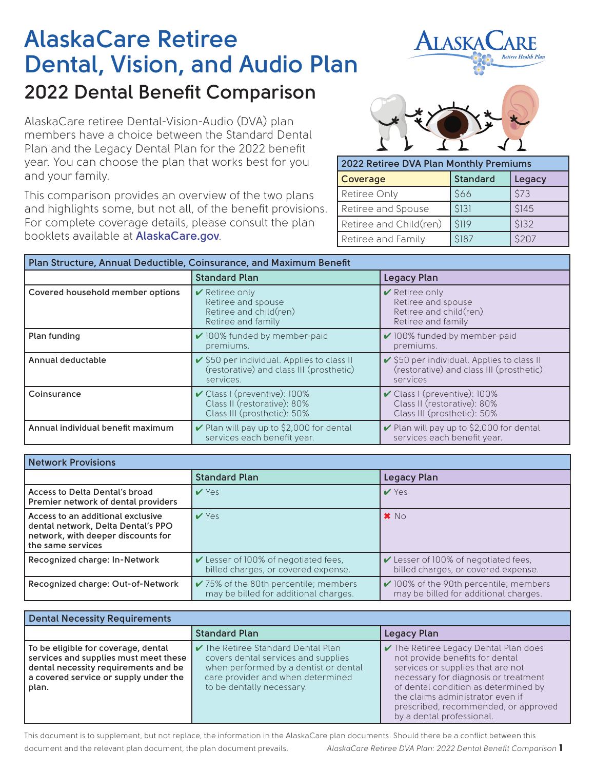## **AlaskaCare Retiree Dental, Vision, and Audio Plan 2022 Dental Benefit Comparison**

AlaskaCare retiree Dental-Vision-Audio (DVA) plan members have a choice between the Standard Dental Plan and the Legacy Dental Plan for the 2022 benefit year. You can choose the plan that works best for you and your family.

This comparison provides an overview of the two plans and highlights some, but not all, of the benefit provisions. For complete coverage details, please consult the plan booklets available at **AlaskaCare.gov**.



**ILASKA** 

| 2022 Retiree DVA Plan Monthly Premiums |                 |        |
|----------------------------------------|-----------------|--------|
| <b>Coverage</b>                        | <b>Standard</b> | Legacy |
| Retiree Only                           | \$66            | \$73   |
| Retiree and Spouse                     | \$131           | \$145  |
| Retiree and Child(ren)                 | \$119           | \$132  |
| Retiree and Family                     | \$187           | \$207  |

| Plan Structure, Annual Deductible, Coinsurance, and Maximum Benefit |                                                                                                       |                                                                                                       |
|---------------------------------------------------------------------|-------------------------------------------------------------------------------------------------------|-------------------------------------------------------------------------------------------------------|
|                                                                     | <b>Standard Plan</b>                                                                                  | <b>Legacy Plan</b>                                                                                    |
| Covered household member options                                    | $\vee$ Retiree only<br>Retiree and spouse<br>Retiree and child(ren)<br>Retiree and family             | $\vee$ Retiree only<br>Retiree and spouse<br>Retiree and child(ren)<br>Retiree and family             |
| Plan funding                                                        | ✔ 100% funded by member-paid<br>premiums.                                                             | ✔ 100% funded by member-paid<br>premiums.                                                             |
| Annual deductable                                                   | ✔ \$50 per individual. Applies to class II<br>(restorative) and class III (prosthetic)<br>services.   | ✔ \$50 per individual. Applies to class II<br>(restorative) and class III (prosthetic)<br>services    |
| Coinsurance                                                         | $\checkmark$ Class I (preventive): 100%<br>Class II (restorative): 80%<br>Class III (prosthetic): 50% | $\checkmark$ Class I (preventive): 100%<br>Class II (restorative): 80%<br>Class III (prosthetic): 50% |
| Annual individual benefit maximum                                   | $\vee$ Plan will pay up to \$2,000 for dental<br>services each benefit year.                          | Plan will pay up to \$2,000 for dental<br>services each benefit year.                                 |

| <b>Network Provisions</b>                                                                                                          |                                                                                            |                                                                                      |
|------------------------------------------------------------------------------------------------------------------------------------|--------------------------------------------------------------------------------------------|--------------------------------------------------------------------------------------|
|                                                                                                                                    | <b>Standard Plan</b>                                                                       | Legacy Plan                                                                          |
| Access to Delta Dental's broad<br>Premier network of dental providers                                                              | $V$ Yes                                                                                    | $V$ Yes                                                                              |
| Access to an additional exclusive<br>dental network, Delta Dental's PPO<br>network, with deeper discounts for<br>the same services | V Yes                                                                                      | $\bm{x}$ No                                                                          |
| Recognized charge: In-Network                                                                                                      | $\triangleright$ Lesser of 100% of negotiated fees,<br>billed charges, or covered expense. | Lesser of 100% of negotiated fees,<br>billed charges, or covered expense.            |
| Recognized charge: Out-of-Network                                                                                                  | $\checkmark$ 75% of the 80th percentile; members<br>may be billed for additional charges.  | $\vee$ 100% of the 90th percentile; members<br>may be billed for additional charges. |

| Dental Necessity Requirements                                                                                                                                          |                                                                                                                                                                                                 |                                                                                                                                                                                                                                                                                                                            |
|------------------------------------------------------------------------------------------------------------------------------------------------------------------------|-------------------------------------------------------------------------------------------------------------------------------------------------------------------------------------------------|----------------------------------------------------------------------------------------------------------------------------------------------------------------------------------------------------------------------------------------------------------------------------------------------------------------------------|
|                                                                                                                                                                        | <b>Standard Plan</b>                                                                                                                                                                            | Legacy Plan                                                                                                                                                                                                                                                                                                                |
| To be eligible for coverage, dental<br>services and supplies must meet these<br>dental necessity requirements and be<br>a covered service or supply under the<br>plan. | $\checkmark$ The Retiree Standard Dental Plan<br>covers dental services and supplies<br>when performed by a dentist or dental<br>care provider and when determined<br>to be dentally necessary. | $\blacktriangleright$ The Retiree Legacy Dental Plan does<br>not provide benefits for dental<br>services or supplies that are not<br>necessary for diagnosis or treatment<br>of dental condition as determined by<br>the claims administrator even if<br>prescribed, recommended, or approved<br>by a dental professional. |

AlaskaCare Retiree DVA Plan: 2022 Dental Benefit Comparison 1 This document is to supplement, but not replace, the information in the AlaskaCare plan documents. Should there be a conflict between this document and the relevant plan document, the plan document prevails.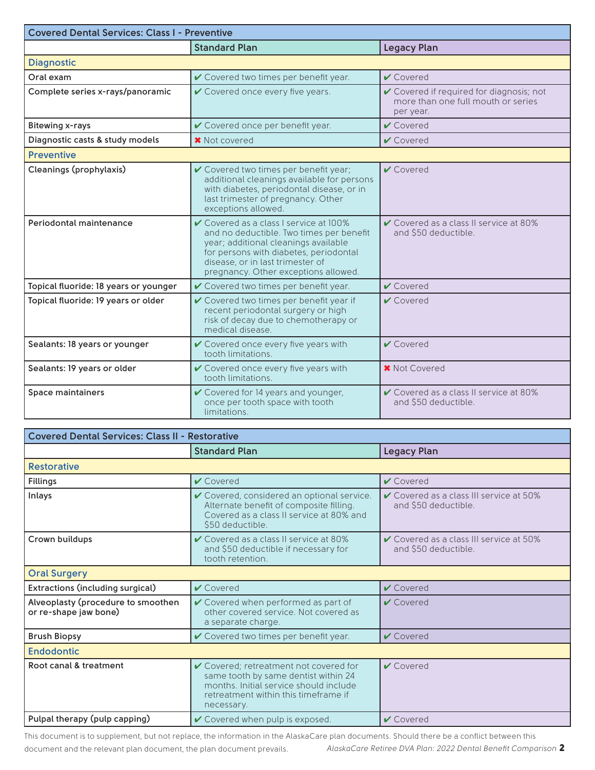| <b>Covered Dental Services: Class I - Preventive</b> |                                                                                                                                                                                                                                                  |                                                                                             |
|------------------------------------------------------|--------------------------------------------------------------------------------------------------------------------------------------------------------------------------------------------------------------------------------------------------|---------------------------------------------------------------------------------------------|
|                                                      | <b>Standard Plan</b>                                                                                                                                                                                                                             | <b>Legacy Plan</b>                                                                          |
| <b>Diagnostic</b>                                    |                                                                                                                                                                                                                                                  |                                                                                             |
| Oral exam                                            | ✔ Covered two times per benefit year.                                                                                                                                                                                                            | $\vee$ Covered                                                                              |
| Complete series x-rays/panoramic                     | $\checkmark$ Covered once every five years.                                                                                                                                                                                                      | ✔ Covered if required for diagnosis; not<br>more than one full mouth or series<br>per year. |
| <b>Bitewing x-rays</b>                               | ✔ Covered once per benefit year.                                                                                                                                                                                                                 | $\vee$ Covered                                                                              |
| Diagnostic casts & study models                      | <b>*</b> Not covered                                                                                                                                                                                                                             | $\vee$ Covered                                                                              |
| <b>Preventive</b>                                    |                                                                                                                                                                                                                                                  |                                                                                             |
| Cleanings (prophylaxis)                              | ✔ Covered two times per benefit year;<br>additional cleanings available for persons<br>with diabetes, periodontal disease, or in<br>last trimester of pregnancy. Other<br>exceptions allowed.                                                    | $\vee$ Covered                                                                              |
| Periodontal maintenance                              | ✔ Covered as a class I service at 100%<br>and no deductible. Two times per benefit<br>year; additional cleanings available<br>for persons with diabetes, periodontal<br>disease, or in last trimester of<br>pregnancy. Other exceptions allowed. | ✔ Covered as a class II service at 80%<br>and \$50 deductible.                              |
| Topical fluoride: 18 years or younger                | ✔ Covered two times per benefit year.                                                                                                                                                                                                            | $\vee$ Covered                                                                              |
| Topical fluoride: 19 years or older                  | ✔ Covered two times per benefit year if<br>recent periodontal surgery or high<br>risk of decay due to chemotherapy or<br>medical disease.                                                                                                        | $\vee$ Covered                                                                              |
| Sealants: 18 years or younger                        | ✔ Covered once every five years with<br>tooth limitations.                                                                                                                                                                                       | $\vee$ Covered                                                                              |
| Sealants: 19 years or older                          | ✔ Covered once every five years with<br>tooth limitations.                                                                                                                                                                                       | <b>*</b> Not Covered                                                                        |
| <b>Space maintainers</b>                             | ✔ Covered for 14 years and younger,<br>once per tooth space with tooth<br>limitations.                                                                                                                                                           | ✔ Covered as a class II service at 80%<br>and \$50 deductible.                              |

| <b>Covered Dental Services: Class II - Restorative</b>      |                                                                                                                                                                                |                                                                 |
|-------------------------------------------------------------|--------------------------------------------------------------------------------------------------------------------------------------------------------------------------------|-----------------------------------------------------------------|
|                                                             | <b>Standard Plan</b>                                                                                                                                                           | <b>Legacy Plan</b>                                              |
| <b>Restorative</b>                                          |                                                                                                                                                                                |                                                                 |
| <b>Fillings</b>                                             | $\vee$ Covered                                                                                                                                                                 | $\vee$ Covered                                                  |
| Inlays                                                      | ✔ Covered, considered an optional service.<br>Alternate benefit of composite filling.<br>Covered as a class II service at 80% and<br>\$50 deductible.                          | ✔ Covered as a class III service at 50%<br>and \$50 deductible. |
| Crown buildups                                              | $\checkmark$ Covered as a class II service at 80%<br>and \$50 deductible if necessary for<br>tooth retention                                                                   | ✔ Covered as a class III service at 50%<br>and \$50 deductible. |
| <b>Oral Surgery</b>                                         |                                                                                                                                                                                |                                                                 |
| Extractions (including surgical)                            | $\vee$ Covered                                                                                                                                                                 | $\vee$ Covered                                                  |
| Alveoplasty (procedure to smoothen<br>or re-shape jaw bone) | ✔ Covered when performed as part of<br>other covered service. Not covered as<br>a separate charge.                                                                             | $\vee$ Covered                                                  |
| <b>Brush Biopsy</b>                                         | ✔ Covered two times per benefit year.                                                                                                                                          | $\vee$ Covered                                                  |
| <b>Endodontic</b>                                           |                                                                                                                                                                                |                                                                 |
| Root canal & treatment                                      | ✔ Covered; retreatment not covered for<br>same tooth by same dentist within 24<br>months. Initial service should include<br>retreatment within this timeframe if<br>necessary. | $\vee$ Covered                                                  |
| Pulpal therapy (pulp capping)                               | ✔ Covered when pulp is exposed.                                                                                                                                                | $\vee$ Covered                                                  |

AlaskaCare Retiree DVA Plan: 2022 Dental Benefit Comparison 2 This document is to supplement, but not replace, the information in the AlaskaCare plan documents. Should there be a conflict between this document and the relevant plan document, the plan document prevails.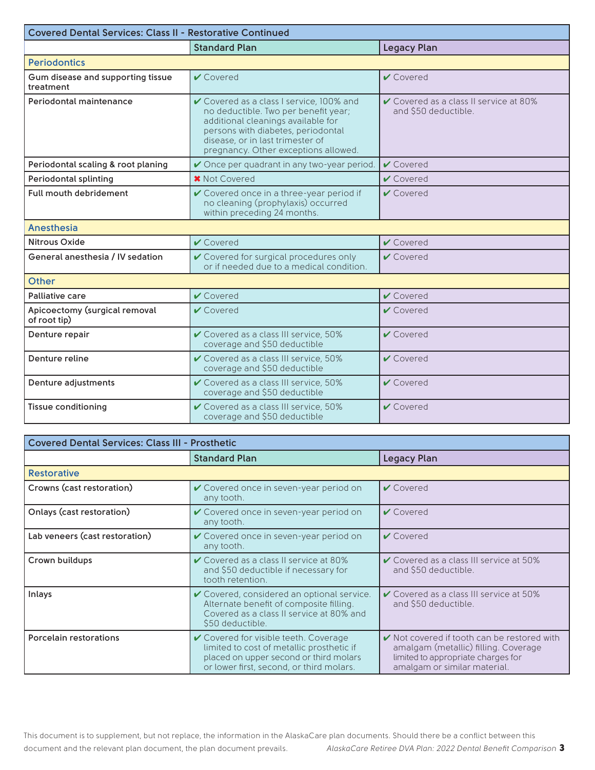| <b>Covered Dental Services: Class II - Restorative Continued</b> |                                                                                                                                                                                                                                          |                                                                           |
|------------------------------------------------------------------|------------------------------------------------------------------------------------------------------------------------------------------------------------------------------------------------------------------------------------------|---------------------------------------------------------------------------|
|                                                                  | <b>Standard Plan</b>                                                                                                                                                                                                                     | <b>Legacy Plan</b>                                                        |
| <b>Periodontics</b>                                              |                                                                                                                                                                                                                                          |                                                                           |
| Gum disease and supporting tissue<br>treatment                   | $\vee$ Covered                                                                                                                                                                                                                           | $\vee$ Covered                                                            |
| Periodontal maintenance                                          | ✔ Covered as a class I service, 100% and<br>no deductible. Two per benefit year;<br>additional cleanings available for<br>persons with diabetes, periodontal<br>disease, or in last trimester of<br>pregnancy. Other exceptions allowed. | $\checkmark$ Covered as a class II service at 80%<br>and \$50 deductible. |
| Periodontal scaling & root planing                               | Once per quadrant in any two-year period.                                                                                                                                                                                                | $\vee$ Covered                                                            |
| <b>Periodontal splinting</b>                                     | <b>*</b> Not Covered                                                                                                                                                                                                                     | $\vee$ Covered                                                            |
| Full mouth debridement                                           | ✔ Covered once in a three-year period if<br>no cleaning (prophylaxis) occurred<br>within preceding 24 months.                                                                                                                            | $\vee$ Covered                                                            |
| <b>Anesthesia</b>                                                |                                                                                                                                                                                                                                          |                                                                           |
| Nitrous Oxide                                                    | $\vee$ Covered                                                                                                                                                                                                                           | $\vee$ Covered                                                            |
| General anesthesia / IV sedation                                 | ✔ Covered for surgical procedures only<br>or if needed due to a medical condition.                                                                                                                                                       | $\vee$ Covered                                                            |
| <b>Other</b>                                                     |                                                                                                                                                                                                                                          |                                                                           |
| Palliative care                                                  | $\vee$ Covered                                                                                                                                                                                                                           | $\vee$ Covered                                                            |
| Apicoectomy (surgical removal<br>of root tip)                    | $\vee$ Covered                                                                                                                                                                                                                           | $\vee$ Covered                                                            |
| Denture repair                                                   | ✔ Covered as a class III service, 50%<br>coverage and \$50 deductible                                                                                                                                                                    | $\vee$ Covered                                                            |
| Denture reline                                                   | ✔ Covered as a class III service, 50%<br>coverage and \$50 deductible                                                                                                                                                                    | $\vee$ Covered                                                            |
| Denture adjustments                                              | ✔ Covered as a class III service, 50%<br>coverage and \$50 deductible                                                                                                                                                                    | $\vee$ Covered                                                            |
| <b>Tissue conditioning</b>                                       | ✔ Covered as a class III service, 50%<br>coverage and \$50 deductible                                                                                                                                                                    | $\vee$ Covered                                                            |

| <b>Covered Dental Services: Class III - Prosthetic</b> |                                                                                                                                                                          |                                                                                                                                                                |
|--------------------------------------------------------|--------------------------------------------------------------------------------------------------------------------------------------------------------------------------|----------------------------------------------------------------------------------------------------------------------------------------------------------------|
|                                                        | <b>Standard Plan</b>                                                                                                                                                     | <b>Legacy Plan</b>                                                                                                                                             |
| <b>Restorative</b>                                     |                                                                                                                                                                          |                                                                                                                                                                |
| Crowns (cast restoration)                              | ✔ Covered once in seven-year period on<br>any tooth.                                                                                                                     | $\vee$ Covered                                                                                                                                                 |
| Onlays (cast restoration)                              | $\vee$ Covered once in seven-year period on<br>any tooth.                                                                                                                | $\vee$ Covered                                                                                                                                                 |
| Lab veneers (cast restoration)                         | ✔ Covered once in seven-year period on<br>any tooth.                                                                                                                     | $\vee$ Covered                                                                                                                                                 |
| Crown buildups                                         | ✔ Covered as a class II service at 80%<br>and \$50 deductible if necessary for<br>tooth retention.                                                                       | $\checkmark$ Covered as a class III service at 50%<br>and \$50 deductible.                                                                                     |
| Inlays                                                 | ✔ Covered, considered an optional service.<br>Alternate benefit of composite filling.<br>Covered as a class II service at 80% and<br>\$50 deductible.                    | $\checkmark$ Covered as a class III service at 50%<br>and \$50 deductible.                                                                                     |
| Porcelain restorations                                 | ✔ Covered for visible teeth. Coverage<br>limited to cost of metallic prosthetic if<br>placed on upper second or third molars<br>or lower first, second, or third molars. | $\vee$ Not covered if tooth can be restored with<br>amalgam (metallic) filling. Coverage<br>limited to appropriate charges for<br>amalgam or similar material. |

3 *AlaskaCare Retiree DVA Plan: 2022 Dental Benefit Comparison* This document is to supplement, but not replace, the information in the AlaskaCare plan documents. Should there be a conflict between this document and the relevant plan document, the plan document prevails.